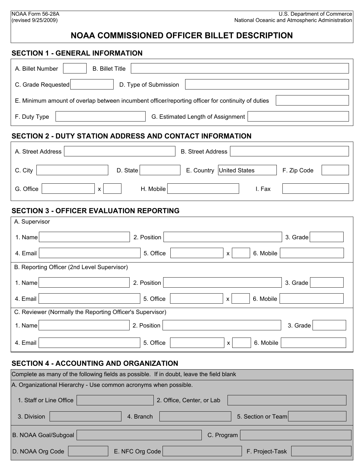#### NOAA Form 56-28A (revised 9/25/2009)

# **NOAA COMMISSIONED OFFICER BILLET DESCRIPTION**

#### **SECTION 1 - GENERAL INFORMATION**

| A. Billet Number                                                                                                                                                                                                                                                                                                                                                                                                                                                                                                                                                                                                                                                          | <b>B.</b> Billet Title                                                                                             |                           |                          |  |
|---------------------------------------------------------------------------------------------------------------------------------------------------------------------------------------------------------------------------------------------------------------------------------------------------------------------------------------------------------------------------------------------------------------------------------------------------------------------------------------------------------------------------------------------------------------------------------------------------------------------------------------------------------------------------|--------------------------------------------------------------------------------------------------------------------|---------------------------|--------------------------|--|
| C. Grade Requested                                                                                                                                                                                                                                                                                                                                                                                                                                                                                                                                                                                                                                                        | $ \hspace{-.02in} \hspace{-.02in} \hspace{-.02in} $<br>D. Type of Submission                                       |                           | $\vert \textbf{F} \vert$ |  |
| $\left  \right. \right. \left. \right. \left. \right. \left. \right. \left. \right. \left. \left. \right. \left. \left. \right. \left. \right. \left. \left. \right. \right. \left. \left. \right. \left. \right. \left. \left. \right. \right. \left. \left. \right. \left. \left. \right. \right. \left. \left. \right. \right. \left. \left. \right. \left. \right. \left. \right. \left. \left. \right. \right. \left. \left. \right. \right. \left. \left. \right. \right. \left. \left. \right. \left. \left. \right. \right. \left. \left. \right. \right. \$<br>E. Minimum amount of overlap between incumbent officer/reporting officer for continuity of duties |                                                                                                                    |                           |                          |  |
| F. Duty Type                                                                                                                                                                                                                                                                                                                                                                                                                                                                                                                                                                                                                                                              | $\vert \textcolor{red}{\blacktriangleleft} \vert$<br>$\left  \bullet \right $<br>G. Estimated Length of Assignment |                           |                          |  |
| <b>SECTION 2 - DUTY STATION ADDRESS AND CONTACT INFORMATION</b>                                                                                                                                                                                                                                                                                                                                                                                                                                                                                                                                                                                                           |                                                                                                                    |                           |                          |  |
| A. Street Address                                                                                                                                                                                                                                                                                                                                                                                                                                                                                                                                                                                                                                                         |                                                                                                                    | <b>B.</b> Street Address  |                          |  |
| C. City                                                                                                                                                                                                                                                                                                                                                                                                                                                                                                                                                                                                                                                                   | D. State<br>$\mathbf{r}$                                                                                           | E. Country United States  | F. Zip Code              |  |
| G. Office<br>$\mathsf{x}$                                                                                                                                                                                                                                                                                                                                                                                                                                                                                                                                                                                                                                                 | H. Mobile                                                                                                          | I. Fax                    |                          |  |
| <b>SECTION 3 - OFFICER EVALUATION REPORTING</b>                                                                                                                                                                                                                                                                                                                                                                                                                                                                                                                                                                                                                           |                                                                                                                    |                           |                          |  |
| A. Supervisor                                                                                                                                                                                                                                                                                                                                                                                                                                                                                                                                                                                                                                                             |                                                                                                                    |                           |                          |  |
| 1. Name                                                                                                                                                                                                                                                                                                                                                                                                                                                                                                                                                                                                                                                                   | 2. Position                                                                                                        |                           | 3. Grade                 |  |
| 4. Email                                                                                                                                                                                                                                                                                                                                                                                                                                                                                                                                                                                                                                                                  | 5. Office                                                                                                          | 6. Mobile<br>$\mathsf{x}$ |                          |  |
| B. Reporting Officer (2nd Level Supervisor)                                                                                                                                                                                                                                                                                                                                                                                                                                                                                                                                                                                                                               |                                                                                                                    |                           |                          |  |
| 1. Name                                                                                                                                                                                                                                                                                                                                                                                                                                                                                                                                                                                                                                                                   | 2. Position                                                                                                        |                           | 3. Grade                 |  |
| 4. Email                                                                                                                                                                                                                                                                                                                                                                                                                                                                                                                                                                                                                                                                  | 5. Office                                                                                                          | 6. Mobile<br>$\mathbf{x}$ |                          |  |
| C. Reviewer (Normally the Reporting Officer's Supervisor)                                                                                                                                                                                                                                                                                                                                                                                                                                                                                                                                                                                                                 |                                                                                                                    |                           |                          |  |
| 1. Name                                                                                                                                                                                                                                                                                                                                                                                                                                                                                                                                                                                                                                                                   | 2. Position                                                                                                        |                           | 3. Grade                 |  |
| 4. Email                                                                                                                                                                                                                                                                                                                                                                                                                                                                                                                                                                                                                                                                  | 5. Office                                                                                                          | 6. Mobile<br>X            |                          |  |

#### **SECTION 4 - ACCOUNTING AND ORGANIZATION**

| Complete as many of the following fields as possible. If in doubt, leave the field blank |  |  |  |
|------------------------------------------------------------------------------------------|--|--|--|
| A. Organizational Hierarchy - Use common acronyms when possible.                         |  |  |  |
| 2. Office, Center, or Lab<br>1. Staff or Line Office                                     |  |  |  |
| 5. Section or Team<br>3. Division<br>4. Branch                                           |  |  |  |
| B. NOAA Goal/Subgoal<br>C. Program                                                       |  |  |  |
| D. NOAA Org Code<br>E. NFC Org Code<br>F. Project-Task                                   |  |  |  |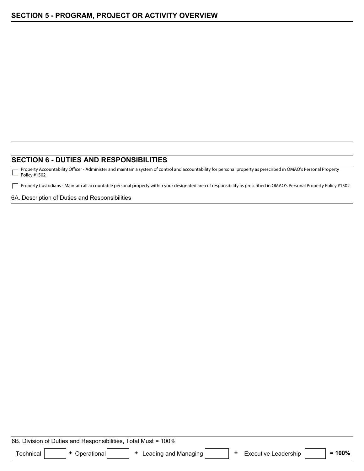#### **SECTION 6 - DUTIES AND RESPONSIBILITIES**

Property Accountability Officer - Administer and maintain a system of control and accountability for personal property as prescribed in OMAO's Personal Property Г Policy #1502

Property Custodians - Maintain all accountable personal property within your designated area of responsibility as prescribed in OMAO's Personal Property Policy #1502

#### 6A. Description of Duties and Responsibilities

| 6B. Division of Duties and Responsibilities, Total Must = 100% |  |             |  |                      |  |  |                             |  |      |
|----------------------------------------------------------------|--|-------------|--|----------------------|--|--|-----------------------------|--|------|
| Technical                                                      |  | Operational |  | Leading and Managing |  |  | <b>Executive Leadership</b> |  | 100% |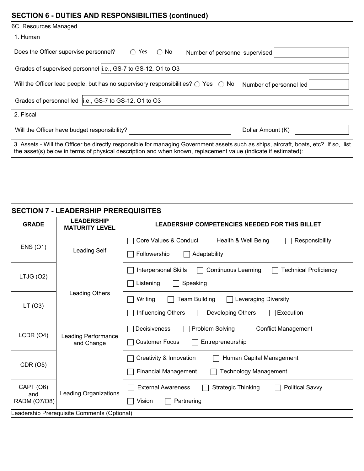| <b>SECTION 6 - DUTIES AND RESPONSIBILITIES (continued)</b>                                                                                                                                                                                             |
|--------------------------------------------------------------------------------------------------------------------------------------------------------------------------------------------------------------------------------------------------------|
| 6C. Resources Managed                                                                                                                                                                                                                                  |
| 1. Human                                                                                                                                                                                                                                               |
| Does the Officer supervise personnel?<br>$\bigcirc$ Yes<br>$\bigcirc$ No<br>Number of personnel supervised                                                                                                                                             |
| Grades of supervised personnel i.e., GS-7 to GS-12, O1 to O3                                                                                                                                                                                           |
| Will the Officer lead people, but has no supervisory responsibilities? $\bigcirc$ Yes $\bigcirc$ No<br>Number of personnel led                                                                                                                         |
| Grades of personnel led   i.e., GS-7 to GS-12, O1 to O3                                                                                                                                                                                                |
| 2. Fiscal                                                                                                                                                                                                                                              |
| Will the Officer have budget responsibility?<br>Dollar Amount (K)                                                                                                                                                                                      |
| 3. Assets - Will the Officer be directly responsible for managing Government assets such as ships, aircraft, boats, etc? If so, list<br>the asset(s) below in terms of physical description and when known, replacement value (indicate if estimated): |
|                                                                                                                                                                                                                                                        |
|                                                                                                                                                                                                                                                        |
|                                                                                                                                                                                                                                                        |

# **SECTION 7 - LEADERSHIP PREREQUISITES**

| <b>GRADE</b>                                | <b>LEADERSHIP</b><br><b>MATURITY LEVEL</b> | LEADERSHIP COMPETENCIES NEEDED FOR THIS BILLET                                            |
|---------------------------------------------|--------------------------------------------|-------------------------------------------------------------------------------------------|
| <b>ENS (O1)</b>                             |                                            | Core Values & Conduct<br>Health & Well Being<br>Responsibility                            |
|                                             | Leading Self                               | Followership<br>Adaptability                                                              |
|                                             |                                            | <b>Interpersonal Skills</b><br><b>Continuous Learning</b><br><b>Technical Proficiency</b> |
| LTJG (O2)                                   |                                            | Speaking<br>Listening                                                                     |
| LT(O3)                                      | Leading Others                             | <b>Team Building</b><br>Leveraging Diversity<br>Writing                                   |
|                                             |                                            | Influencing Others<br>Developing Others<br>Execution                                      |
| LCDR (O4)                                   | Leading Performance<br>and Change          | Problem Solving<br><b>Conflict Management</b><br>Decisiveness                             |
|                                             |                                            | <b>Customer Focus</b><br>Entrepreneurship                                                 |
|                                             |                                            | Creativity & Innovation<br>Human Capital Management                                       |
| CDR (O5)                                    |                                            | <b>Financial Management</b><br><b>Technology Management</b>                               |
| CAPT (O6)                                   | <b>Leading Organizations</b>               | <b>External Awareness</b><br><b>Strategic Thinking</b><br><b>Political Savvy</b>          |
| and<br>RADM (O7/O8)                         |                                            | Vision<br>Partnering                                                                      |
| Leadership Prerequisite Comments (Optional) |                                            |                                                                                           |
|                                             |                                            |                                                                                           |
|                                             |                                            |                                                                                           |
|                                             |                                            |                                                                                           |
|                                             |                                            |                                                                                           |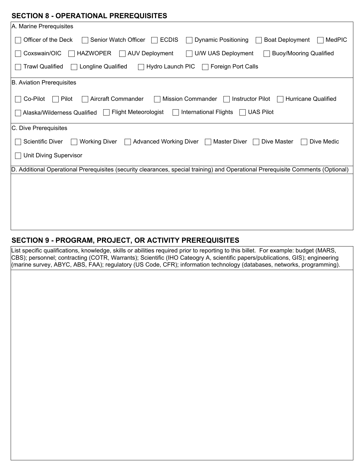### **SECTION 8 - OPERATIONAL PREREQUISITES**

| A. Marine Prerequisites                                                                                                               |  |  |  |
|---------------------------------------------------------------------------------------------------------------------------------------|--|--|--|
| Officer of the Deck<br>Senior Watch Officer  <br><b>Dynamic Positioning</b><br><b>Boat Deployment</b><br><b>ECDIS</b><br>MedPIC       |  |  |  |
| <b>HAZWOPER</b><br>Coxswain/OIC<br>$\Box$ AUV Deployment<br>U/W UAS Deployment<br><b>Buoy/Mooring Qualified</b>                       |  |  |  |
| <b>Trawl Qualified</b><br>Longline Qualified<br>Hydro Launch PIC<br>Foreign Port Calls                                                |  |  |  |
| B. Aviation Prerequisites                                                                                                             |  |  |  |
| Co-Pilot<br>Pilot<br>Aircraft Commander<br><b>Mission Commander</b><br><b>Instructor Pilot</b><br>Hurricane Qualified                 |  |  |  |
| <b>International Flights</b><br><b>UAS Pilot</b><br>Alaska/Wilderness Qualified   Flight Meteorologist<br>$\mathbf{1}$                |  |  |  |
| C. Dive Prerequisites                                                                                                                 |  |  |  |
| <b>Scientific Diver</b><br>Advanced Working Diver □ Master Diver<br><b>Working Diver</b><br>Dive Master<br>Dive Medic<br>$\mathbf{I}$ |  |  |  |
| <b>Unit Diving Supervisor</b>                                                                                                         |  |  |  |
| D. Additional Operational Prerequisites (security clearances, special training) and Operational Prerequisite Comments (Optional)      |  |  |  |
|                                                                                                                                       |  |  |  |
|                                                                                                                                       |  |  |  |
|                                                                                                                                       |  |  |  |
|                                                                                                                                       |  |  |  |
|                                                                                                                                       |  |  |  |

## **SECTION 9 - PROGRAM, PROJECT, OR ACTIVITY PREREQUISITES**

List specific qualifications, knowledge, skills or abilities required prior to reporting to this billet. For example: budget (MARS, CBS); personnel; contracting (COTR, Warrants); Scientific (IHO Cateogry A, scientific papers/publications, GIS); engineering (marine survey, ABYC, ABS, FAA); regulatory (US Code, CFR); information technology (databases, networks, programming).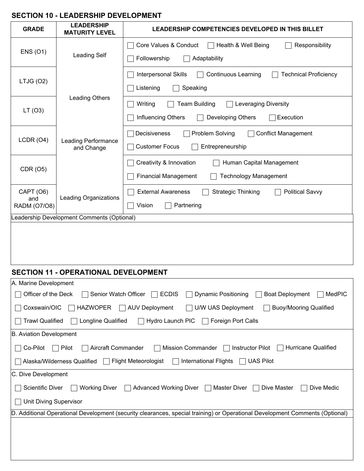## **SECTION 10 - LEADERSHIP DEVELOPMENT**

| <b>GRADE</b>                                                                                                                  | <b>LEADERSHIP</b><br><b>MATURITY LEVEL</b> | LEADERSHIP COMPETENCIES DEVELOPED IN THIS BILLET                                   |
|-------------------------------------------------------------------------------------------------------------------------------|--------------------------------------------|------------------------------------------------------------------------------------|
| <b>ENS (O1)</b>                                                                                                               |                                            | Core Values & Conduct<br>Responsibility<br>Health & Well Being                     |
|                                                                                                                               | <b>Leading Self</b>                        | Followership<br>Adaptability                                                       |
| LTJG (O2)                                                                                                                     |                                            | Interpersonal Skills<br><b>Continuous Learning</b><br><b>Technical Proficiency</b> |
|                                                                                                                               |                                            | Speaking<br>Listening                                                              |
|                                                                                                                               | Leading Others                             | Writing<br><b>Team Building</b><br>Leveraging Diversity                            |
| LT(03)                                                                                                                        |                                            | Influencing Others<br>Developing Others<br>Execution                               |
| LCDR (O4)                                                                                                                     | <b>Leading Performance</b><br>and Change   | Problem Solving<br><b>Conflict Management</b><br>Decisiveness                      |
|                                                                                                                               |                                            | <b>Customer Focus</b><br>Entrepreneurship                                          |
|                                                                                                                               |                                            | Creativity & Innovation<br>Human Capital Management                                |
| CDR (O5)                                                                                                                      |                                            | <b>Financial Management</b><br><b>Technology Management</b>                        |
| CAPT (O6)                                                                                                                     | <b>Leading Organizations</b>               | <b>External Awareness</b><br><b>Strategic Thinking</b><br><b>Political Savvy</b>   |
| and<br>RADM (O7/O8)                                                                                                           |                                            | Vision<br>Partnering                                                               |
| eadership Development Comments (Optional)                                                                                     |                                            |                                                                                    |
|                                                                                                                               |                                            |                                                                                    |
|                                                                                                                               |                                            |                                                                                    |
|                                                                                                                               |                                            |                                                                                    |
| <b>SECTION 11 - OPERATIONAL DEVELOPMENT</b>                                                                                   |                                            |                                                                                    |
| A. Marine Development                                                                                                         |                                            |                                                                                    |
| <b>ECDIS</b><br><b>MedPIC</b><br>Officer of the Deck<br>Senior Watch Officer<br>Dynamic Positioning<br><b>Boat Deployment</b> |                                            |                                                                                    |

| A. Marine Development                                                                                                                         |  |  |  |  |
|-----------------------------------------------------------------------------------------------------------------------------------------------|--|--|--|--|
| Officer of the Deck<br>Senior Watch Officer<br><b>Boat Deployment</b><br><b>ECDIS</b><br><b>Dynamic Positioning</b><br>MedPIC<br>$\mathbf{L}$ |  |  |  |  |
| <b>HAZWOPER</b><br>U/W UAS Deployment<br>Coxswain/OIC<br><b>AUV Deployment</b><br><b>Buoy/Mooring Qualified</b><br>$\Box$                     |  |  |  |  |
| <b>Trawl Qualified</b><br>Longline Qualified<br>Hydro Launch PIC<br><b>Foreign Port Calls</b>                                                 |  |  |  |  |
| B. Aviation Development                                                                                                                       |  |  |  |  |
| Hurricane Qualified<br>Co-Pilot<br>Pilot<br>Aircraft Commander<br><b>Mission Commander</b><br>Instructor Pilot                                |  |  |  |  |
| <b>Flight Meteorologist</b><br><b>UAS Pilot</b><br><b>International Flights</b><br>Alaska/Wilderness Qualified                                |  |  |  |  |
| C. Dive Development                                                                                                                           |  |  |  |  |
| <b>Scientific Diver</b><br><b>Working Diver</b><br><b>Advanced Working Diver</b><br>Master Diver<br>Dive Master<br>Dive Medic                 |  |  |  |  |
| <b>Unit Diving Supervisor</b>                                                                                                                 |  |  |  |  |
| D. Additional Operational Development (security clearances, special training) or Operational Development Comments (Optional)                  |  |  |  |  |
|                                                                                                                                               |  |  |  |  |
|                                                                                                                                               |  |  |  |  |
|                                                                                                                                               |  |  |  |  |
|                                                                                                                                               |  |  |  |  |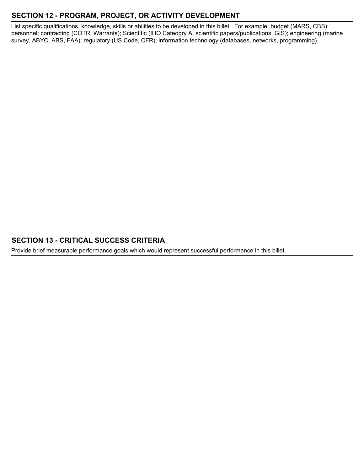## **SECTION 12 - PROGRAM, PROJECT, OR ACTIVITY DEVELOPMENT**

List specific qualifications, knowledge, skills or abilities to be developed in this billet. For example: budget (MARS, CBS); personnel; contracting (COTR, Warrants); Scientific (IHO Cateogry A, scientific papers/publications, GIS); engineering (marine survey, ABYC, ABS, FAA); regulatory (US Code, CFR); information technology (databases, networks, programming).

## **SECTION 13 - CRITICAL SUCCESS CRITERIA**

Provide brief measurable performance goals which would represent successful performance in this billet.